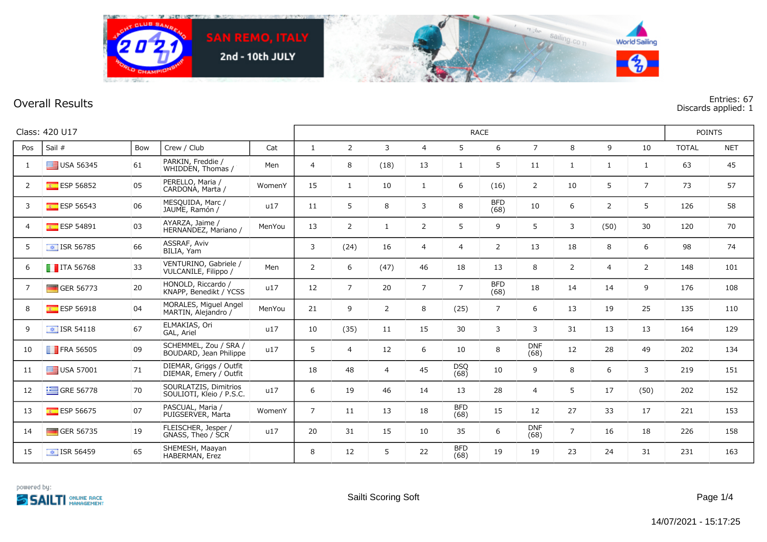

## **Overall Results**

Entries: 67<br>Discards applied: 1

| Class: 420 U17 |                          |     |                                                   |        |                | <b>RACE</b>    |                |                |                    |                    |                    |                |                |                |              |            |
|----------------|--------------------------|-----|---------------------------------------------------|--------|----------------|----------------|----------------|----------------|--------------------|--------------------|--------------------|----------------|----------------|----------------|--------------|------------|
| Pos            | Sail #                   | Bow | Crew / Club                                       | Cat    | $\mathbf{1}$   | $\overline{2}$ | $\overline{3}$ | $\overline{4}$ | 5                  | 6                  | $\overline{7}$     | 8              | 9              | 10             | <b>TOTAL</b> | <b>NET</b> |
| 1              | $\equiv$ USA 56345       | 61  | PARKIN, Freddie /<br>WHIDDEN, Thomas /            | Men    | $\overline{4}$ | 8              | (18)           | 13             | 1                  | 5                  | 11                 | $\mathbf{1}$   | $\mathbf{1}$   | $\mathbf{1}$   | 63           | 45         |
| 2              | <b>ESP 56852</b>         | 05  | PERELLO, Maria /<br>CARDONA, Marta /              | WomenY | 15             | 1              | 10             | $\mathbf{1}$   | 6                  | (16)               | $\overline{2}$     | 10             | 5              | $\overline{7}$ | 73           | 57         |
| 3              | ESP 56543                | 06  | MESQUIDA, Marc /<br>JAUME, Ramón /                | u17    | 11             | 5              | 8              | 3              | 8                  | <b>BFD</b><br>(68) | 10                 | 6              | $\overline{2}$ | 5              | 126          | 58         |
| $\overline{4}$ | <b>ESP 54891</b>         | 03  | AYARZA, Jaime /<br>HERNANDEZ, Mariano /           | MenYou | 13             | $\overline{2}$ | $\mathbf{1}$   | $\overline{2}$ | 5                  | 9                  | 5                  | 3              | (50)           | 30             | 120          | 70         |
| 5              | $\sqrt{12}$ ISR 56785    | 66  | ASSRAF, Aviv<br>BILIA, Yam                        |        | 3              | (24)           | 16             | $\overline{4}$ | $\overline{4}$     | $\overline{2}$     | 13                 | 18             | 8              | 6              | 98           | 74         |
| 6              | $\blacksquare$ ITA 56768 | 33  | VENTURINO, Gabriele /<br>VULCANILE, Filippo /     | Men    | $\overline{2}$ | 6              | (47)           | 46             | 18                 | 13                 | 8                  | 2              | $\overline{4}$ | $\overline{2}$ | 148          | 101        |
| 7              | GER 56773                | 20  | HONOLD, Riccardo /<br>KNAPP, Benedikt / YCSS      | u17    | 12             | $\overline{7}$ | 20             | $\overline{7}$ | $\overline{7}$     | <b>BFD</b><br>(68) | 18                 | 14             | 14             | 9              | 176          | 108        |
| 8              | ESP 56918                | 04  | MORALES, Miguel Angel<br>MARTIN, Alejandro /      | MenYou | 21             | 9              | $\overline{2}$ | 8              | (25)               | $7^{\circ}$        | 6                  | 13             | 19             | 25             | 135          | 110        |
| 9              | $\boxed{\div}$ ISR 54118 | 67  | ELMAKIAS, Ori<br>GAL, Ariel                       | u17    | 10             | (35)           | 11             | 15             | 30                 | 3                  | 3                  | 31             | 13             | 13             | 164          | 129        |
| 10             | $\blacksquare$ FRA 56505 | 09  | SCHEMMEL, Zou / SRA /<br>BOUDARD, Jean Philippe   | u17    | 5              | $\overline{4}$ | 12             | 6              | 10                 | 8                  | <b>DNF</b><br>(68) | 12             | 28             | 49             | 202          | 134        |
| 11             | $\blacksquare$ USA 57001 | 71  | DIEMAR, Griggs / Outfit<br>DIEMAR, Emery / Outfit |        | 18             | 48             | $\overline{4}$ | 45             | <b>DSQ</b><br>(68) | 10                 | 9                  | 8              | 6              | 3              | 219          | 151        |
| 12             | $\equiv$ GRE 56778       | 70  | SOURLATZIS, Dimitrios<br>SOULIOTI, Kleio / P.S.C. | u17    | 6              | 19             | 46             | 14             | 13                 | 28                 | $\overline{4}$     | 5              | 17             | (50)           | 202          | 152        |
| 13             | <b>ESP 56675</b>         | 07  | PASCUAL, Maria /<br>PUIGSERVER, Marta             | WomenY | $\overline{7}$ | 11             | 13             | 18             | <b>BFD</b><br>(68) | 15                 | 12                 | 27             | 33             | 17             | 221          | 153        |
| 14             | GER 56735                | 19  | FLEISCHER, Jesper /<br>GNASS, Theo / SCR          | u17    | 20             | 31             | 15             | 10             | 35                 | 6                  | <b>DNF</b><br>(68) | $\overline{7}$ | 16             | 18             | 226          | 158        |
| 15             | $\boxed{\div}$ ISR 56459 | 65  | SHEMESH, Maayan<br>HABERMAN, Erez                 |        | 8              | 12             | 5              | 22             | <b>BFD</b><br>(68) | 19                 | 19                 | 23             | 24             | 31             | 231          | 163        |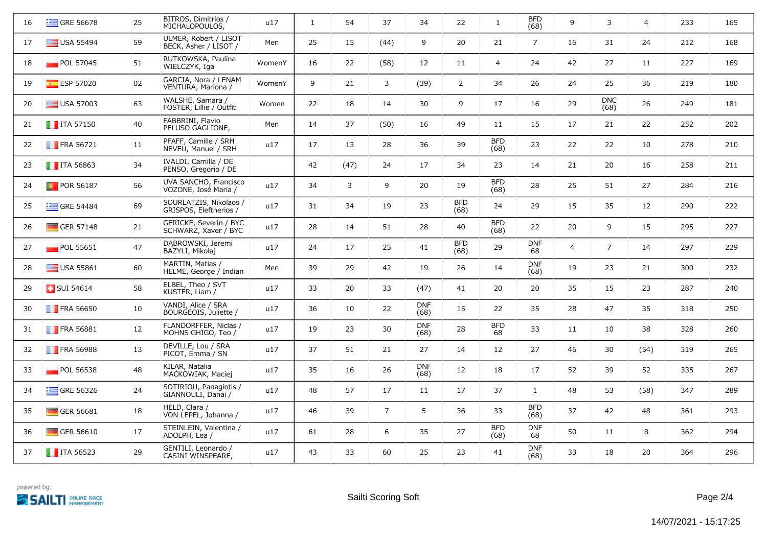| 16 | $\equiv$ GRE 56678       | 25 | BITROS, Dimitrios /<br>MICHALOPOULOS,            | u17    | $\mathbf{1}$ | 54   | 37             | 34                 | 22                 | 1                  | <b>BFD</b><br>(68) | 9              | 3                  | $\overline{4}$ | 233 | 165 |
|----|--------------------------|----|--------------------------------------------------|--------|--------------|------|----------------|--------------------|--------------------|--------------------|--------------------|----------------|--------------------|----------------|-----|-----|
| 17 | $\equiv$ USA 55494       | 59 | ULMER, Robert / LISOT<br>BECK, Asher / LISOT /   | Men    | 25           | 15   | (44)           | 9                  | 20                 | 21                 | $\overline{7}$     | 16             | 31                 | 24             | 212 | 168 |
| 18 | $\blacksquare$ POL 57045 | 51 | RUTKOWSKA, Paulina<br>WIELCZYK, Iga              | WomenY | 16           | 22   | (58)           | 12                 | 11                 | $\overline{4}$     | 24                 | 42             | 27                 | 11             | 227 | 169 |
| 19 | <b>ESP 57020</b>         | 02 | GARCIA, Nora / LENAM<br>VENTURA, Mariona /       | WomenY | 9            | 21   | 3              | (39)               | $\overline{2}$     | 34                 | 26                 | 24             | 25                 | 36             | 219 | 180 |
| 20 | $\equiv$ USA 57003       | 63 | WALSHE, Samara /<br>FOSTER, Lillie / Outfit      | Women  | 22           | 18   | 14             | 30                 | 9                  | 17                 | 16                 | 29             | <b>DNC</b><br>(68) | 26             | 249 | 181 |
| 21 | $\blacksquare$ ITA 57150 | 40 | FABBRINI, Flavio<br>PELUSO GAGLIONE,             | Men    | 14           | 37   | (50)           | 16                 | 49                 | 11                 | 15                 | 17             | 21                 | 22             | 252 | 202 |
| 22 | $\blacksquare$ FRA 56721 | 11 | PFAFF, Camille / SRH<br>NEVEU, Manuel / SRH      | u17    | 17           | 13   | 28             | 36                 | 39                 | <b>BFD</b><br>(68) | 23                 | 22             | 22                 | 10             | 278 | 210 |
| 23 | $\blacksquare$ ITA 56863 | 34 | IVALDI, Camilla / DE<br>PENSO, Gregorio / DE     |        | 42           | (47) | 24             | 17                 | 34                 | 23                 | 14                 | 21             | 20                 | 16             | 258 | 211 |
| 24 | $\blacksquare$ POR 56187 | 56 | UVA SANCHO, Francisco<br>VOZONE, José Maria /    | u17    | 34           | 3    | 9              | 20                 | 19                 | <b>BFD</b><br>(68) | 28                 | 25             | 51                 | 27             | 284 | 216 |
| 25 | $\equiv$ GRE 54484       | 69 | SOURLATZIS, Nikolaos /<br>GRISPOS, Eleftherios / | u17    | 31           | 34   | 19             | 23                 | <b>BFD</b><br>(68) | 24                 | 29                 | 15             | 35                 | 12             | 290 | 222 |
| 26 | $\Box$ GER 57148         | 21 | GERICKE, Severin / BYC<br>SCHWARZ, Xaver / BYC   | u17    | 28           | 14   | 51             | 28                 | 40                 | <b>BFD</b><br>(68) | 22                 | 20             | 9                  | 15             | 295 | 227 |
| 27 | $\blacksquare$ POL 55651 | 47 | DABROWSKI, Jeremi<br>BAZYLI, Mikołaj             | u17    | 24           | 17   | 25             | 41                 | <b>BFD</b><br>(68) | 29                 | <b>DNF</b><br>68   | $\overline{4}$ | $\overline{7}$     | 14             | 297 | 229 |
| 28 | $\equiv$ USA 55861       | 60 | MARTIN, Matias /<br>HELME, George / Indian       | Men    | 39           | 29   | 42             | 19                 | 26                 | 14                 | <b>DNF</b><br>(68) | 19             | 23                 | 21             | 300 | 232 |
| 29 | $\blacksquare$ SUI 54614 | 58 | ELBEL, Theo / SVT<br>KUSTER, Liam /              | u17    | 33           | 20   | 33             | (47)               | 41                 | 20                 | 20                 | 35             | 15                 | 23             | 287 | 240 |
| 30 | <b>FRA 56650</b>         | 10 | VANDI, Alice / SRA<br>BOURGEOIS, Juliette /      | u17    | 36           | 10   | 22             | <b>DNF</b><br>(68) | 15                 | 22                 | 35                 | 28             | 47                 | 35             | 318 | 250 |
| 31 | <b>FRA 56881</b>         | 12 | FLANDORFFER, Niclas /<br>MOHNS GHIGO, Teo /      | u17    | 19           | 23   | 30             | <b>DNF</b><br>(68) | 28                 | <b>BFD</b><br>68   | 33                 | 11             | 10                 | 38             | 328 | 260 |
| 32 | <b>FRA 56988</b>         | 13 | DEVILLE, Lou / SRA<br>PICOT, Emma / SN           | u17    | 37           | 51   | 21             | 27                 | 14                 | 12                 | 27                 | 46             | 30                 | (54)           | 319 | 265 |
| 33 | POL 56538                | 48 | KILAR, Natalia<br>MACKOWIAK, Maciej              | u17    | 35           | 16   | 26             | <b>DNF</b><br>(68) | 12                 | 18                 | 17                 | 52             | 39                 | 52             | 335 | 267 |
| 34 | GRE 56326                | 24 | SOTIRIOU, Panagiotis /<br>GIANNOULI, Danai /     | u17    | 48           | 57   | 17             | 11                 | 17                 | 37                 | 1                  | 48             | 53                 | (58)           | 347 | 289 |
| 35 | $\blacksquare$ GER 56681 | 18 | HELD, Clara /<br>VON LEPEL, Johanna /            | u17    | 46           | 39   | $\overline{7}$ | 5                  | 36                 | 33                 | <b>BFD</b><br>(68) | 37             | 42                 | 48             | 361 | 293 |
| 36 | GER 56610                | 17 | STEINLEIN, Valentina /<br>ADOLPH, Lea /          | u17    | 61           | 28   | 6              | 35                 | 27                 | <b>BFD</b><br>(68) | <b>DNF</b><br>68   | 50             | 11                 | 8              | 362 | 294 |
| 37 | $\blacksquare$ ITA 56523 | 29 | GENTILI, Leonardo /<br>CASINI WINSPEARE,         | u17    | 43           | 33   | 60             | 25                 | 23                 | 41                 | <b>DNF</b><br>(68) | 33             | 18                 | 20             | 364 | 296 |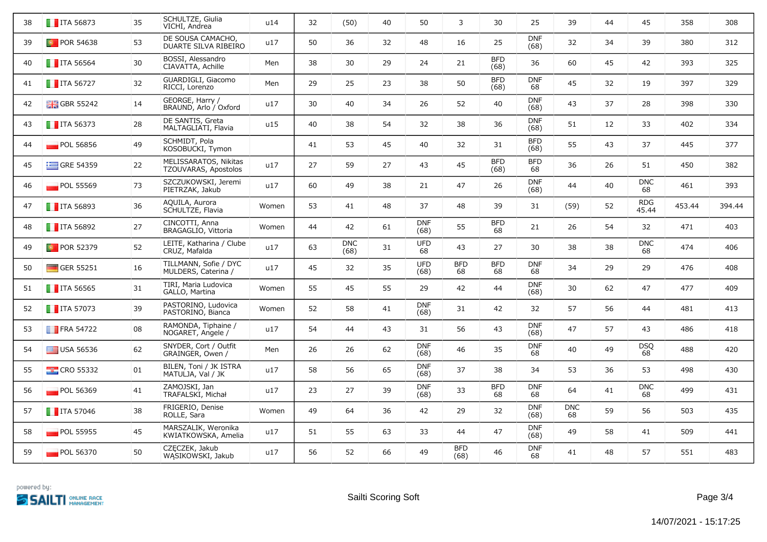| 38 | $\blacksquare$ ITA 56873  | 35 | SCHULTZE, Giulia<br>VICHI, Andrea             | u14   | 32 | (50)               | 40 | 50                 | 3                  | 30                 | 25                 | 39               | 44 | 45                  | 358    | 308    |
|----|---------------------------|----|-----------------------------------------------|-------|----|--------------------|----|--------------------|--------------------|--------------------|--------------------|------------------|----|---------------------|--------|--------|
| 39 | <b>D</b> POR 54638        | 53 | DE SOUSA CAMACHO,<br>DUARTE SILVA RIBEIRO     | u17   | 50 | 36                 | 32 | 48                 | 16                 | 25                 | <b>DNF</b><br>(68) | 32               | 34 | 39                  | 380    | 312    |
| 40 | $\blacksquare$ ITA 56564  | 30 | BOSSI, Alessandro<br>CIAVATTA, Achille        | Men   | 38 | 30                 | 29 | 24                 | 21                 | <b>BFD</b><br>(68) | 36                 | 60               | 45 | 42                  | 393    | 325    |
| 41 | $\blacksquare$ ITA 56727  | 32 | GUARDIGLI, Giacomo<br>RICCI, Lorenzo          | Men   | 29 | 25                 | 23 | 38                 | 50                 | <b>BFD</b><br>(68) | <b>DNF</b><br>68   | 45               | 32 | 19                  | 397    | 329    |
| 42 | $\frac{1}{200}$ GBR 55242 | 14 | GEORGE, Harry /<br>BRAUND, Arlo / Oxford      | u17   | 30 | 40                 | 34 | 26                 | 52                 | 40                 | <b>DNF</b><br>(68) | 43               | 37 | 28                  | 398    | 330    |
| 43 | $\blacksquare$ ITA 56373  | 28 | DE SANTIS, Greta<br>MALTAGLIATI, Flavia       | u15   | 40 | 38                 | 54 | 32                 | 38                 | 36                 | <b>DNF</b><br>(68) | 51               | 12 | 33                  | 402    | 334    |
| 44 | POL 56856                 | 49 | SCHMIDT, Pola<br>KOSOBUCKI, Tymon             |       | 41 | 53                 | 45 | 40                 | 32                 | 31                 | <b>BFD</b><br>(68) | 55               | 43 | 37                  | 445    | 377    |
| 45 | $\equiv$ GRE 54359        | 22 | MELISSARATOS, Nikitas<br>TZOUVARAS, Apostolos | u17   | 27 | 59                 | 27 | 43                 | 45                 | <b>BFD</b><br>(68) | <b>BFD</b><br>68   | 36               | 26 | 51                  | 450    | 382    |
| 46 | POL 55569                 | 73 | SZCZUKOWSKI, Jeremi<br>PIETRZAK, Jakub        | u17   | 60 | 49                 | 38 | 21                 | 47                 | 26                 | <b>DNF</b><br>(68) | 44               | 40 | <b>DNC</b><br>68    | 461    | 393    |
| 47 | $\blacksquare$ ITA 56893  | 36 | AQUILA, Aurora<br>SCHULTZE, Flavia            | Women | 53 | 41                 | 48 | 37                 | 48                 | 39                 | 31                 | (59)             | 52 | <b>RDG</b><br>45.44 | 453.44 | 394.44 |
| 48 | $\blacksquare$ ITA 56892  | 27 | CINCOTTI, Anna<br>BRAGAGLIO, Vittoria         | Women | 44 | 42                 | 61 | <b>DNF</b><br>(68) | 55                 | <b>BFD</b><br>68   | 21                 | 26               | 54 | 32                  | 471    | 403    |
| 49 | <b>D</b> POR 52379        | 52 | LEITE, Katharina / Clube<br>CRUZ, Mafalda     | u17   | 63 | <b>DNC</b><br>(68) | 31 | <b>UFD</b><br>68   | 43                 | 27                 | 30                 | 38               | 38 | <b>DNC</b><br>68    | 474    | 406    |
| 50 | $\Box$ GER 55251          | 16 | TILLMANN, Sofie / DYC<br>MÜLDERS, Caterina /  | u17   | 45 | 32                 | 35 | <b>UFD</b><br>(68) | <b>BFD</b><br>68   | <b>BFD</b><br>68   | <b>DNF</b><br>68   | 34               | 29 | 29                  | 476    | 408    |
| 51 | $\blacksquare$ ITA 56565  | 31 | TIRI, Maria Ludovica<br>GALLO, Martina        | Women | 55 | 45                 | 55 | 29                 | 42                 | 44                 | <b>DNF</b><br>(68) | 30               | 62 | 47                  | 477    | 409    |
| 52 | $\blacksquare$ ITA 57073  | 39 | PASTORINO, Ludovica<br>PASTORINO, Bianca      | Women | 52 | 58                 | 41 | <b>DNF</b><br>(68) | 31                 | 42                 | 32                 | 57               | 56 | 44                  | 481    | 413    |
| 53 | $\blacksquare$ FRA 54722  | 08 | RAMONDA, Tiphaine /<br>NOGARET, Angele /      | u17   | 54 | 44                 | 43 | 31                 | 56                 | 43                 | <b>DNF</b><br>(68) | 47               | 57 | 43                  | 486    | 418    |
| 54 | $\equiv$ USA 56536        | 62 | SNYDER, Cort / Outfit<br>GRAINGER, Owen /     | Men   | 26 | 26                 | 62 | <b>DNF</b><br>(68) | 46                 | 35                 | <b>DNF</b><br>68   | 40               | 49 | <b>DSQ</b><br>68    | 488    | 420    |
| 55 | $\frac{1}{2}$ CRO 55332   | 01 | BILEN, Toni / JK ISTRA<br>MATULJA, Val / JK   | u17   | 58 | 56                 | 65 | <b>DNF</b><br>(68) | 37                 | 38                 | 34                 | 53               | 36 | 53                  | 498    | 430    |
| 56 | $\blacksquare$ POL 56369  | 41 | ZAMOJSKI, Jan<br>TRAFALSKI, Michał            | u17   | 23 | 27                 | 39 | <b>DNF</b><br>(68) | 33                 | <b>BFD</b><br>68   | <b>DNF</b><br>68   | 64               | 41 | <b>DNC</b><br>68    | 499    | 431    |
| 57 | $\blacksquare$ ITA 57046  | 38 | FRIGERIO, Denise<br>ROLLE, Sara               | Women | 49 | 64                 | 36 | 42                 | 29                 | 32                 | <b>DNF</b><br>(68) | <b>DNC</b><br>68 | 59 | 56                  | 503    | 435    |
| 58 | $\blacksquare$ POL 55955  | 45 | MARSZALIK, Weronika<br>KWIATKOWSKA, Amelia    | u17   | 51 | 55                 | 63 | 33                 | 44                 | 47                 | <b>DNF</b><br>(68) | 49               | 58 | 41                  | 509    | 441    |
| 59 | $\blacksquare$ POL 56370  | 50 | CZECZEK, Jakub<br>WĄSIKOWSKI, Jakub           | u17   | 56 | 52                 | 66 | 49                 | <b>BFD</b><br>(68) | 46                 | <b>DNF</b><br>68   | 41               | 48 | 57                  | 551    | 483    |